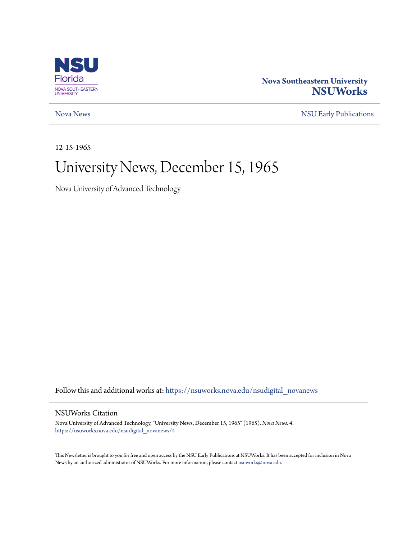

### **Nova Southeastern University [NSUWorks](https://nsuworks.nova.edu?utm_source=nsuworks.nova.edu%2Fnsudigital_novanews%2F4&utm_medium=PDF&utm_campaign=PDFCoverPages)**

[Nova News](https://nsuworks.nova.edu/nsudigital_novanews?utm_source=nsuworks.nova.edu%2Fnsudigital_novanews%2F4&utm_medium=PDF&utm_campaign=PDFCoverPages) [NSU Early Publications](https://nsuworks.nova.edu/nsudigital_earlypubs?utm_source=nsuworks.nova.edu%2Fnsudigital_novanews%2F4&utm_medium=PDF&utm_campaign=PDFCoverPages)

12-15-1965

### University News, December 15, 1965

Nova University of Advanced Technology

Follow this and additional works at: [https://nsuworks.nova.edu/nsudigital\\_novanews](https://nsuworks.nova.edu/nsudigital_novanews?utm_source=nsuworks.nova.edu%2Fnsudigital_novanews%2F4&utm_medium=PDF&utm_campaign=PDFCoverPages)

#### NSUWorks Citation

Nova University of Advanced Technology, "University News, December 15, 1965" (1965). *Nova News*. 4. [https://nsuworks.nova.edu/nsudigital\\_novanews/4](https://nsuworks.nova.edu/nsudigital_novanews/4?utm_source=nsuworks.nova.edu%2Fnsudigital_novanews%2F4&utm_medium=PDF&utm_campaign=PDFCoverPages)

This Newsletter is brought to you for free and open access by the NSU Early Publications at NSUWorks. It has been accepted for inclusion in Nova News by an authorized administrator of NSUWorks. For more information, please contact [nsuworks@nova.edu.](mailto:nsuworks@nova.edu)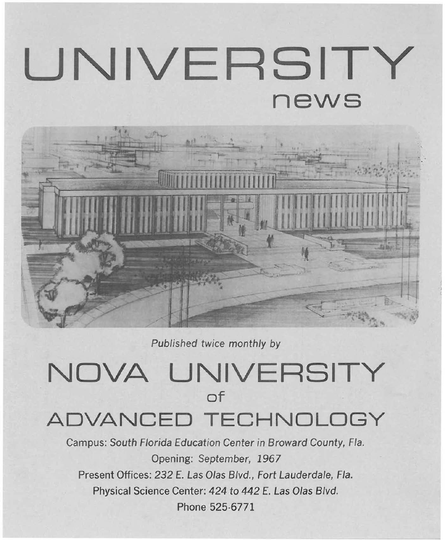# **UNIVERSITY news**



Published twice monthly by

# **NOVA UNIVERSITY of**

## **ADVANCED TECHNOLOGY**

Campus: South Florida Education Center in Broward County, Fla. Opening: September, 1967 Present Offices: 232 E. Las Olas Blvd., Fort Lauderdale, Fla. Physical Science Center: 424 to 442 E. Las Olas Blvd. Phone 525·6771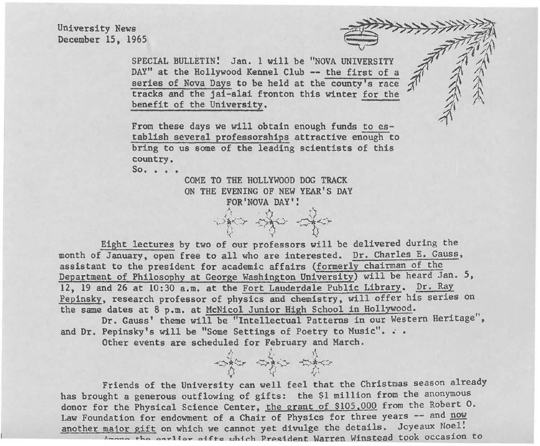University News December 15. 1965

> SPECIAL BULLETIN! Jan. 1 will be "NOVA UNIVERSITY DAY" at the Hollywood Kennel Club -- the first of a series of Nova Days to be held at the county's race tracks and the ja1-alai fronton this winter for the benefit of the University.

From these days we will obtain enough funds to establish several professorships attractive enough to bring to us some of the leading scientists of this country.

 $So. \ldots$ 

COME TO THE HOLLYWOOD DOG TRACK ON THE EVENING OF NEW YEAR'S DAY FOR 'NOVA DAY':

> $\mathcal{D}_{\text{max}} = \mathcal{D}_{\text{max}} = \mathcal{D}_{\text{max}}$ ;. /1 <::-.r -<..-, <sup>~</sup>."! -<.::>- d<~ .-- <sup>A</sup><sup>~</sup>-y '<

Eight lectures by two of our professors will be delivered during the month of January. open free to all who are interested. Dr. Charles E. Gauss, assistant to the president for academic affairs (formerly chairman of the Department of Philosophy at George Washington University) will be heard Jan. 5, 12. 19 and 26 at 10:30 a.m. at the Fort Lauderdale Public Library. Dr. Ray Pepinsky, research professor of physics and chemistry, will offer his series on the same dates at 8 p.m. at McNicol Junior High School in Hollywood.

Dr. Gauss' theme will be "Intellectual Patterns in our Western Heritage", and Dr. Pepinsky's will be "Some Settings of Poetry to Music". . .

-:;.\*1::::r '-'::<-) <.-:.- -Q-it-<-:r J) 1/ (;

Other events are scheduled for February and March.

Friends of the University can well feel that the Christmas season already has brought a generous outflowing of gifts: the \$1 million from the anonymous donor for the Physical Science Center, the grant of \$105.000 from the Robert O. Law Foundation for endowment of a Chair of Physics for three years -- and now another major gift on which we cannot yet divulge the details. Joyeaux Noel!

 $\Lambda$ mone the earlier oifts which President Warren Winstead took occasion to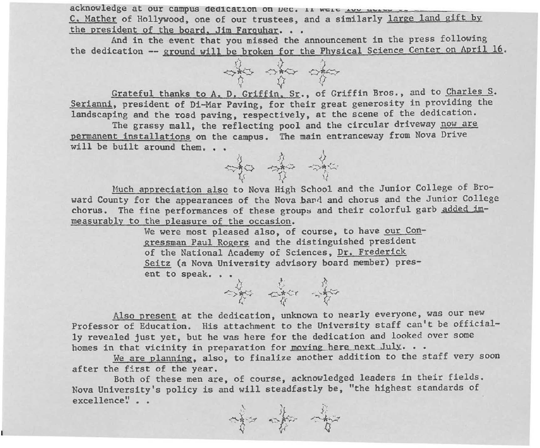acknowledge at our campus dedication on  $\mu$ ec. If wele too above  $\sim$ C. Mather of Hollywood, one of our trustees, and a similarly large land gift by the president of the board. Jim Farquhar. . .

And in the event that you missed the announcement in the press following the dedication -- ground will be broken for the Physical Science Center on April 16.



Grateful thanks to A. D. Griffin. Sr., of Griffin Bros., and to Charles S. Serianni, president of Di-Mar Paving, for their great generosity in providing the landscaping and the road paving, respectively, at the scene of the dedication.

The grassy mall, the reflecting pool and the circular driveway now are permanent installations on the campus. The main entranceway from Nova Drive will be built around them.  $\ldots$ 



Much appreciation also to Nova High School and the Junior College of Broward County for the appearances of the Nova band and chorus and the Junior College chorus. The fine performances of these groups and their colorful garb added immeasurably to the pleasure of the occasion.

> We were most pleased also, of course, to have our Congressman Paul Rogers and the distinguished president of the National Academy of Sciences, Dr. Frederick Seitz (a Nova University advisory board member) present to speak. the right of 大 大 大 大 大



We are planning, also, to finalize another addition to the staff very soon after the first of the year.

Both of these men are, of course, acknowledged leaders in their fields. Nova University's policy is and will steadfastly be, "the highest standards of excellence" . .

 $\mathcal{H}$ c:;.~ -.;r <.~.-;-  $\sum_{i=1}^{n}$ ,,;~, ' lJ